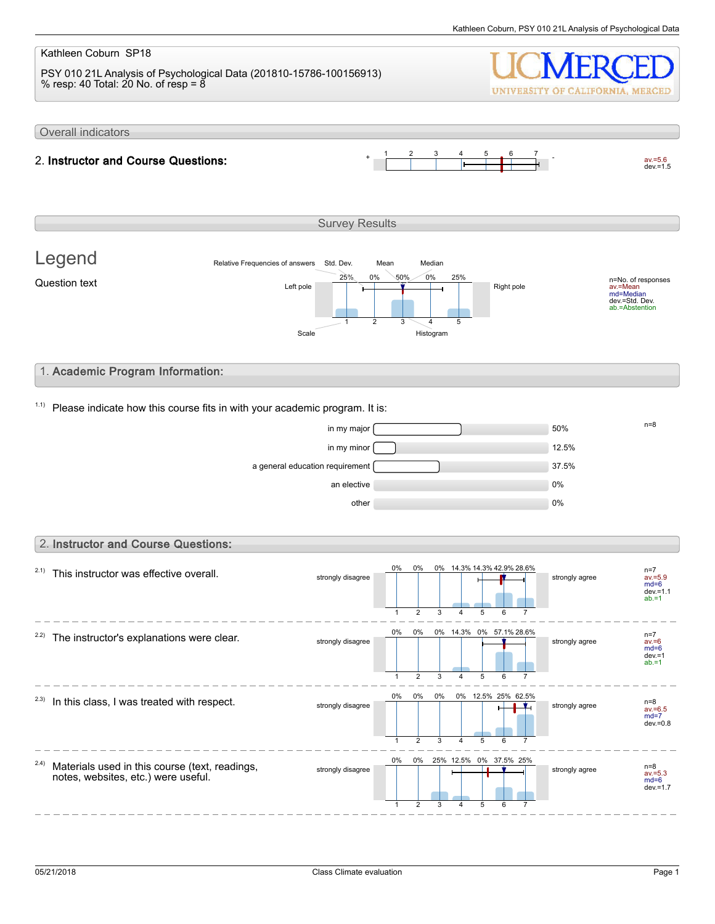#### Kathleen Coburn SP18 PSY 010 21L Analysis of Psychological Data (201810-15786-100156913) % resp: 40 Total: 20 No. of resp =  $8$ UNIVERSITY OF CALIFORNIA, MERCED Overall indicators 1 2 3 4 5 6 7  $av.=5.6$ <br>dev.=1.5 2. Instructor and Course Questions: Survey Results Legend Relative Frequencies of answers Std. Dev. Mean Median 0% 0% 50% 25% 25% n=No. of responses av.=Mean md=Median dev.=Std. Dev. ab.=Abstention Question text  $L$  and  $L$  the  $\frac{L}{L}$  and  $\frac{L}{L}$  and  $\frac{L}{L}$  Right pole 1 2 3 4 5 Scale Histogram 1. Academic Program Information:  $1.1$ ) Please indicate how this course fits in with your academic program. It is:  $\frac{m}{s}$  in my major  $\frac{m}{s}$  $\frac{1}{2}$  in my minor  $\boxed{12.5\%}$ a general education requirement **1996** and 37.5% an elective and the contract of the contract of the contract of the contract of the contract of the contract of the contract of the contract of the contract of the contract of the contract of the contract of the contract o other  $0\%$ 2. Instructor and Course Questions: 0% 0% 0% 14.3% 14.3% 42.9% 28.6%  $2.1)$  This instructor was effective overall. n=7 av.=5.9 md=6 dev.=1.1 strongly disagree strongly agree  $ab = 1$  $\overline{2}$ 3 5 1 4 6 7 0% 0% 0% 14.3% 0% 57.1% 28.6%  $2.2$ ) The instructor's explanations were clear. n=7 av.=6 strongly disagree strongly disagree md=6 dev.=1 ab.=1 1 2 3 4 5  $\overline{6}$ 7 0% 0% 0% 0% 12.5% 25% 62.5%  $2.3)$  In this class, I was treated with respect. n=8<br>av.=6.5 strongly disagree strongly agree  $md=7$ dev.= $0.8$ 1  $\mathfrak{D}$ 3 4 5 6 7 0% 0% 25% 12.5% 0% 37.5% 25% 2.4) Materials used in this course (text, readings, strongly disagree strongly agree notes, websites, etc.) were useful. av.=5.3 md=6 dev.=1.7 1 2 3 5 6 4 7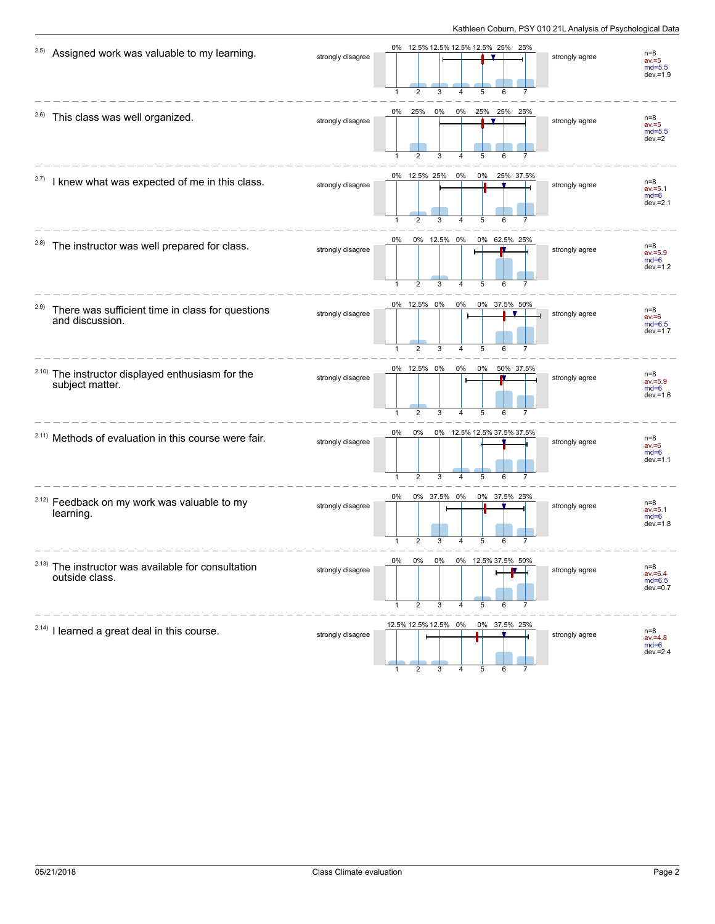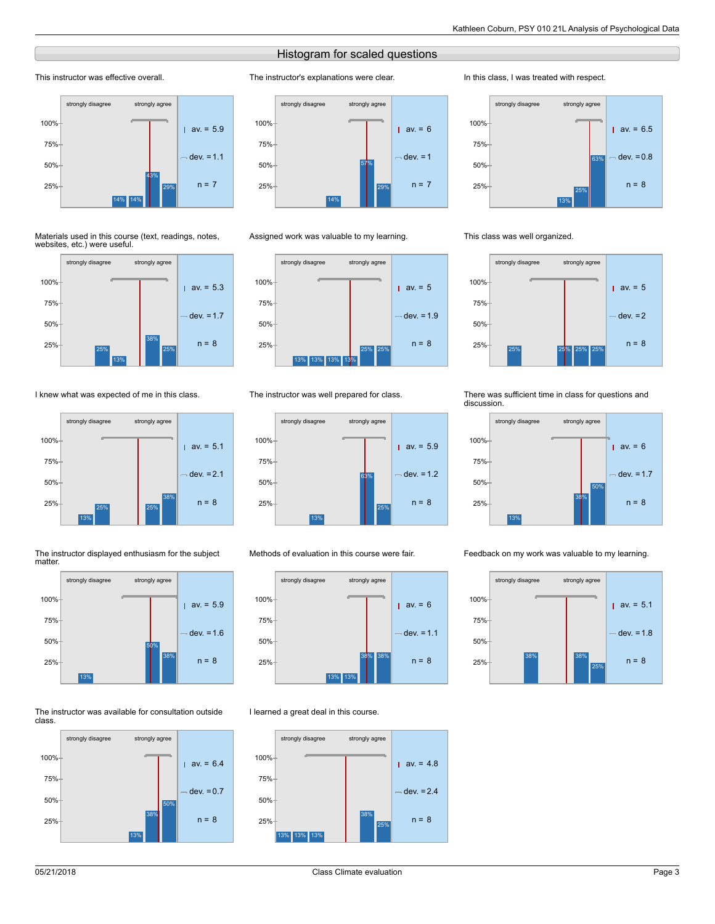### Histogram for scaled questions

The instructor's explanations were clear.

#### This instructor was effective overall.



#### Materials used in this course (text, readings, notes, websites, etc.) were useful.



I knew what was expected of me in this class.







#### The instructor was available for consultation outside class.





#### Assigned work was valuable to my learning.



#### The instructor was well prepared for class.



#### Methods of evaluation in this course were fair.



#### I learned a great deal in this course.



#### In this class, I was treated with respect.



#### This class was well organized.



#### There was sufficient time in class for questions and discussion.



#### Feedback on my work was valuable to my learning.

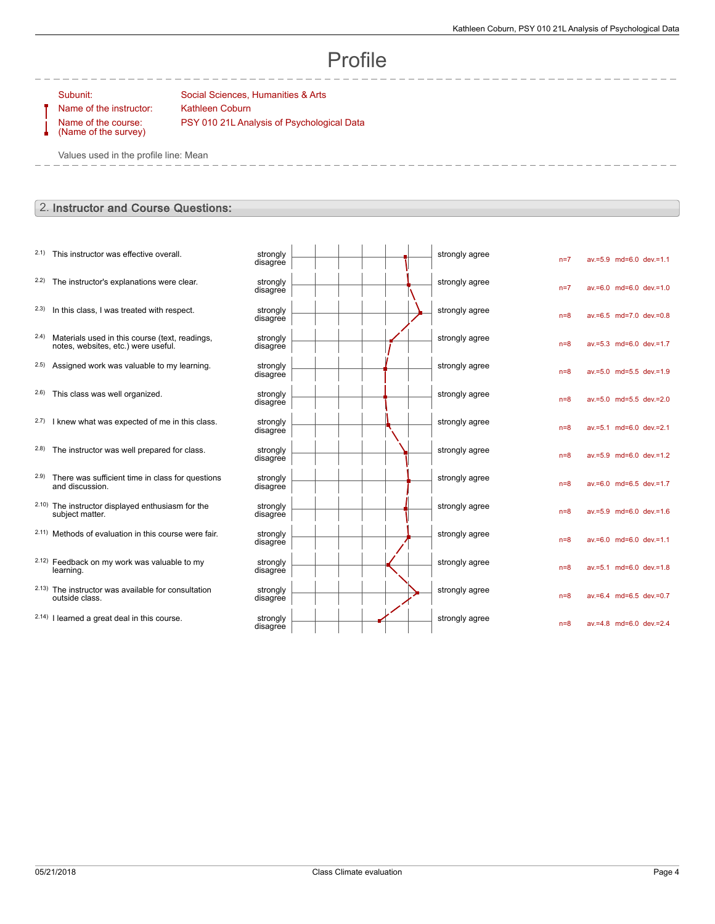av.=5.9 md=6.0 dev.=1.1

 $av=6.0$  md=6.0 dev.=1.0

av.=6.5 md=7.0 dev.=0.8

av.=5.3 md=6.0 dev.=1.7

av.=5.0 md=5.5 dev.=1.9

av.=5.0 md=5.5 dev.=2.0

av.=5.1 md=6.0 dev.=2.1

av.=5.9 md=6.0 dev.=1.2

av.=6.0 md=6.5 dev.=1.7

av.=5.9 md=6.0 dev.=1.6

av.=6.0 md=6.0 dev.=1.1

av.=5.1 md=6.0 dev.=1.8

 $av=6.4$  md=6.5 dev.=0.7

av.=4.8 md=6.0 dev.=2.4

# Profile

Name of the instructor: Kathleen Coburn Name of the course: (Name of the survey)

Subunit: Subunit: Social Sciences, Humanities & Arts PSY 010 21L Analysis of Psychological Data

Values used in the profile line: Mean

### 2. Instructor and Course Questions:

- $2.1)$  This instructor was effective overall.
- $2.2$ ) The instructor's explanations were clear.
- $2.3)$  In this class, I was treated with respect.
- 2.4) Materials used in this course (text, readings, notes, websites, etc.) were useful.
- $2.5$ ) Assigned work was valuable to my learning.
- $2.6$ ) This class was well organized.
- $2.7$ ) I knew what was expected of me in this class.
- $2.8$ ) The instructor was well prepared for class.
- 2.9) There was sufficient time in class for questions and discussion.
- 2.10) The instructor displayed enthusiasm for the subject matter.
- $2.11)$  Methods of evaluation in this course were fair.
- 2.12) Feedback on my work was valuable to my learning.
- 2.13) The instructor was available for consultation outside class.
- $2.14$ ) I learned a great deal in this course.

| strongly<br>disagree |  |  |  | strongly agree | $n=7$ |
|----------------------|--|--|--|----------------|-------|
| strongly<br>disagree |  |  |  | strongly agree | $n=7$ |
| strongly<br>disagree |  |  |  | strongly agree | $n=8$ |
| strongly<br>disagree |  |  |  | strongly agree | $n=8$ |
| strongly<br>disagree |  |  |  | strongly agree | $n=8$ |
| strongly<br>disagree |  |  |  | strongly agree | $n=8$ |
| strongly<br>disagree |  |  |  | strongly agree | $n=8$ |
| strongly<br>disagree |  |  |  | strongly agree | $n=8$ |
| strongly<br>disagree |  |  |  | strongly agree | $n=8$ |
| strongly<br>disagree |  |  |  | strongly agree | $n=8$ |
| strongly<br>disagree |  |  |  | strongly agree | $n=8$ |
| strongly<br>disagree |  |  |  | strongly agree | $n=8$ |
| strongly<br>disagree |  |  |  | strongly agree | $n=8$ |
| strongly<br>disagree |  |  |  | strongly agree | $n=8$ |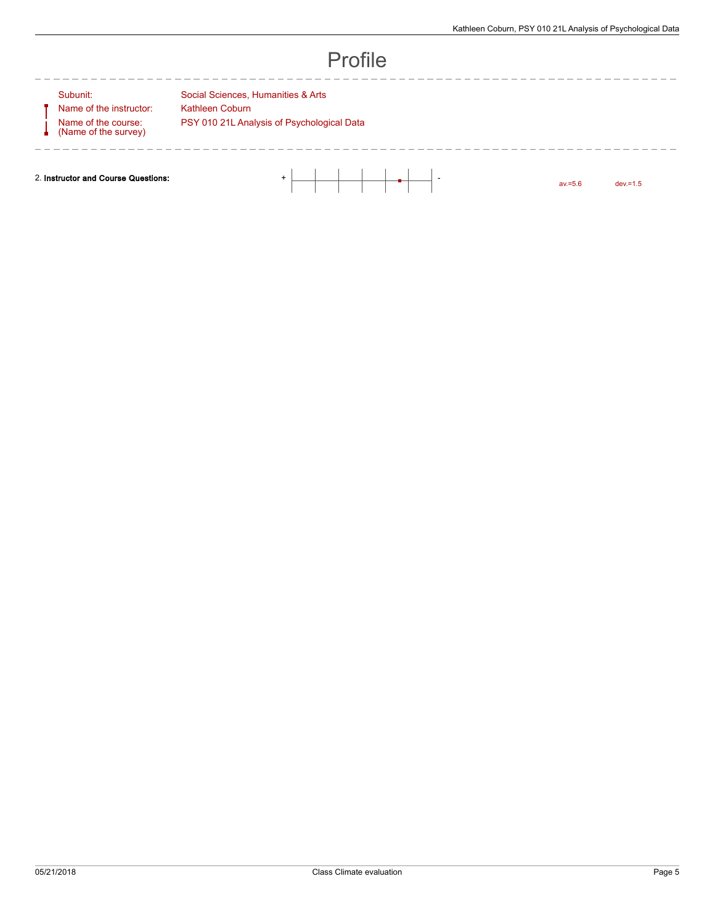--------------

## Profile

Name of the instructor: Kathleen Coburn Name of the course: (Name of the survey)

--------

Subunit: Social Sciences, Humanities & Arts PSY 010 21L Analysis of Psychological Data

2. Instructor and Course Questions:  $\begin{array}{|c|c|c|c|c|}\n\hline\n\multicolumn{1}{|c|}{3} & \multicolumn{1}{|c|}{4} & \multicolumn{1}{|c|}{5} & \multicolumn{1}{|c|}{5} & \multicolumn{1}{|c|}{5} & \multicolumn{1}{|c|}{5} & \multicolumn{1}{|c|}{5} & \multicolumn{1}{|c|}{5} & \multicolumn{1}{|c|}{5} & \multicolumn{1}{|c|}{5} & \multicolumn{1}{|c|}{5} & \multicolumn{1}{|$ 

av.=5.6 dev.=1.5